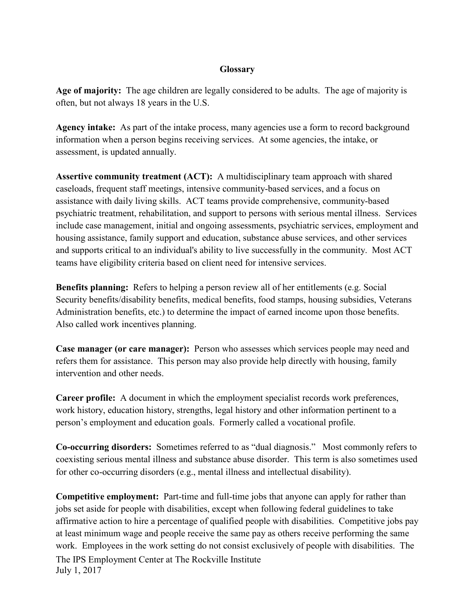## **Glossary**

**Age of majority:** The age children are legally considered to be adults. The age of majority is often, but not always 18 years in the U.S.

**Agency intake:** As part of the intake process, many agencies use a form to record background information when a person begins receiving services. At some agencies, the intake, or assessment, is updated annually.

**Assertive community treatment (ACT):** A multidisciplinary team approach with shared caseloads, frequent staff meetings, intensive community-based services, and a focus on assistance with daily living skills. ACT teams provide comprehensive, community-based psychiatric treatment, rehabilitation, and support to persons with serious mental illness. Services include case management, initial and ongoing assessments, psychiatric services, employment and housing assistance, family support and education, substance abuse services, and other services and supports critical to an individual's ability to live successfully in the community. Most ACT teams have eligibility criteria based on client need for intensive services.

**Benefits planning:** Refers to helping a person review all of her entitlements (e.g. Social Security benefits/disability benefits, medical benefits, food stamps, housing subsidies, Veterans Administration benefits, etc.) to determine the impact of earned income upon those benefits. Also called work incentives planning.

**Case manager (or care manager):** Person who assesses which services people may need and refers them for assistance. This person may also provide help directly with housing, family intervention and other needs.

**Career profile:** A document in which the employment specialist records work preferences, work history, education history, strengths, legal history and other information pertinent to a person's employment and education goals. Formerly called a vocational profile.

**Co-occurring disorders:** Sometimes referred to as "dual diagnosis." Most commonly refers to coexisting serious mental illness and substance abuse disorder. This term is also sometimes used for other co-occurring disorders (e.g., mental illness and intellectual disability).

The IPS Employment Center at The Rockville Institute July 1, 2017 **Competitive employment:** Part-time and full-time jobs that anyone can apply for rather than jobs set aside for people with disabilities, except when following federal guidelines to take affirmative action to hire a percentage of qualified people with disabilities. Competitive jobs pay at least minimum wage and people receive the same pay as others receive performing the same work. Employees in the work setting do not consist exclusively of people with disabilities. The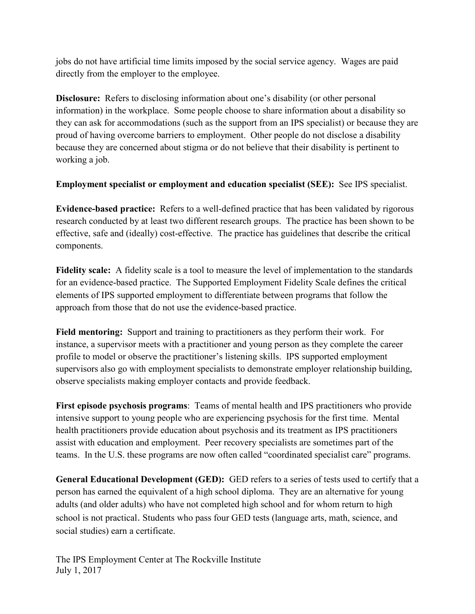jobs do not have artificial time limits imposed by the social service agency. Wages are paid directly from the employer to the employee.

**Disclosure:** Refers to disclosing information about one's disability (or other personal information) in the workplace. Some people choose to share information about a disability so they can ask for accommodations (such as the support from an IPS specialist) or because they are proud of having overcome barriers to employment. Other people do not disclose a disability because they are concerned about stigma or do not believe that their disability is pertinent to working a job.

**Employment specialist or employment and education specialist (SEE):** See IPS specialist.

**Evidence-based practice:** Refers to a well-defined practice that has been validated by rigorous research conducted by at least two different research groups. The practice has been shown to be effective, safe and (ideally) cost-effective. The practice has guidelines that describe the critical components.

**Fidelity scale:** A fidelity scale is a tool to measure the level of implementation to the standards for an evidence-based practice. The Supported Employment Fidelity Scale defines the critical elements of IPS supported employment to differentiate between programs that follow the approach from those that do not use the evidence-based practice.

**Field mentoring:** Support and training to practitioners as they perform their work. For instance, a supervisor meets with a practitioner and young person as they complete the career profile to model or observe the practitioner's listening skills. IPS supported employment supervisors also go with employment specialists to demonstrate employer relationship building, observe specialists making employer contacts and provide feedback.

**First episode psychosis programs**: Teams of mental health and IPS practitioners who provide intensive support to young people who are experiencing psychosis for the first time. Mental health practitioners provide education about psychosis and its treatment as IPS practitioners assist with education and employment. Peer recovery specialists are sometimes part of the teams. In the U.S. these programs are now often called "coordinated specialist care" programs.

**General Educational Development (GED):** GED refers to a series of tests used to certify that a person has earned the equivalent of a high school diploma. They are an alternative for young adults (and older adults) who have not completed high school and for whom return to high school is not practical. Students who pass four GED tests (language arts, math, science, and social studies) earn a certificate.

The IPS Employment Center at The Rockville Institute July 1, 2017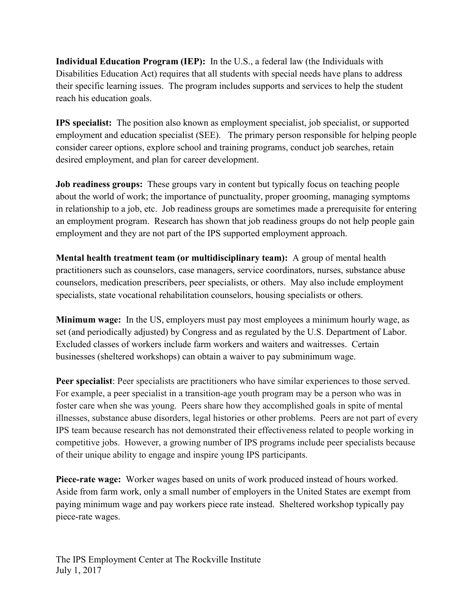**Individual Education Program (IEP):** In the U.S., a federal law (the Individuals with Disabilities Education Act) requires that all students with special needs have plans to address their specific learning issues. The program includes supports and services to help the student reach his education goals.

**IPS specialist:** The position also known as employment specialist, job specialist, or supported employment and education specialist (SEE). The primary person responsible for helping people consider career options, explore school and training programs, conduct job searches, retain desired employment, and plan for career development.

**Job readiness groups:** These groups vary in content but typically focus on teaching people about the world of work; the importance of punctuality, proper grooming, managing symptoms in relationship to a job, etc. Job readiness groups are sometimes made a prerequisite for entering an employment program. Research has shown that job readiness groups do not help people gain employment and they are not part of the IPS supported employment approach.

**Mental health treatment team (or multidisciplinary team):** A group of mental health practitioners such as counselors, case managers, service coordinators, nurses, substance abuse counselors, medication prescribers, peer specialists, or others. May also include employment specialists, state vocational rehabilitation counselors, housing specialists or others.

**Minimum wage:** In the US, employers must pay most employees a minimum hourly wage, as set (and periodically adjusted) by Congress and as regulated by the U.S. Department of Labor. Excluded classes of workers include farm workers and waiters and waitresses. Certain businesses (sheltered workshops) can obtain a waiver to pay subminimum wage.

**Peer specialist**: Peer specialists are practitioners who have similar experiences to those served. For example, a peer specialist in a transition-age youth program may be a person who was in foster care when she was young. Peers share how they accomplished goals in spite of mental illnesses, substance abuse disorders, legal histories or other problems. Peers are not part of every IPS team because research has not demonstrated their effectiveness related to people working in competitive jobs. However, a growing number of IPS programs include peer specialists because of their unique ability to engage and inspire young IPS participants.

**Piece-rate wage:** Worker wages based on units of work produced instead of hours worked. Aside from farm work, only a small number of employers in the United States are exempt from paying minimum wage and pay workers piece rate instead. Sheltered workshop typically pay piece-rate wages.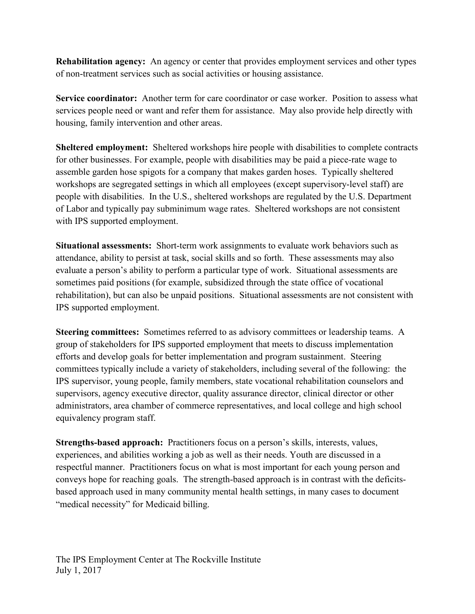**Rehabilitation agency:** An agency or center that provides employment services and other types of non-treatment services such as social activities or housing assistance.

**Service coordinator:** Another term for care coordinator or case worker.Position to assess what services people need or want and refer them for assistance. May also provide help directly with housing, family intervention and other areas.

**Sheltered employment:** Sheltered workshops hire people with disabilities to complete contracts for other businesses. For example, people with disabilities may be paid a piece-rate wage to assemble garden hose spigots for a company that makes garden hoses. Typically sheltered workshops are segregated settings in which all employees (except supervisory-level staff) are people with disabilities. In the U.S., sheltered workshops are regulated by the U.S. Department of Labor and typically pay subminimum wage rates. Sheltered workshops are not consistent with IPS supported employment.

**Situational assessments:** Short-term work assignments to evaluate work behaviors such as attendance, ability to persist at task, social skills and so forth. These assessments may also evaluate a person's ability to perform a particular type of work. Situational assessments are sometimes paid positions (for example, subsidized through the state office of vocational rehabilitation), but can also be unpaid positions. Situational assessments are not consistent with IPS supported employment.

**Steering committees:** Sometimes referred to as advisory committees or leadership teams. A group of stakeholders for IPS supported employment that meets to discuss implementation efforts and develop goals for better implementation and program sustainment. Steering committees typically include a variety of stakeholders, including several of the following: the IPS supervisor, young people, family members, state vocational rehabilitation counselors and supervisors, agency executive director, quality assurance director, clinical director or other administrators, area chamber of commerce representatives, and local college and high school equivalency program staff.

**Strengths-based approach:** Practitioners focus on a person's skills, interests, values, experiences, and abilities working a job as well as their needs. Youth are discussed in a respectful manner. Practitioners focus on what is most important for each young person and conveys hope for reaching goals. The strength-based approach is in contrast with the deficitsbased approach used in many community mental health settings, in many cases to document "medical necessity" for Medicaid billing.